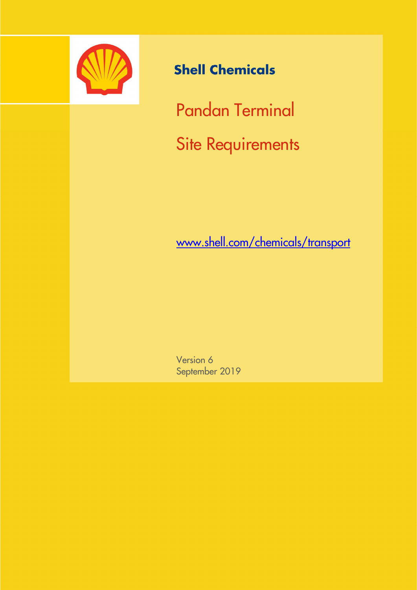

# **Shell Chemicals**

Pandan Terminal Site Requirements

www.shell.com/chemicals/transport

Version 6 September 2019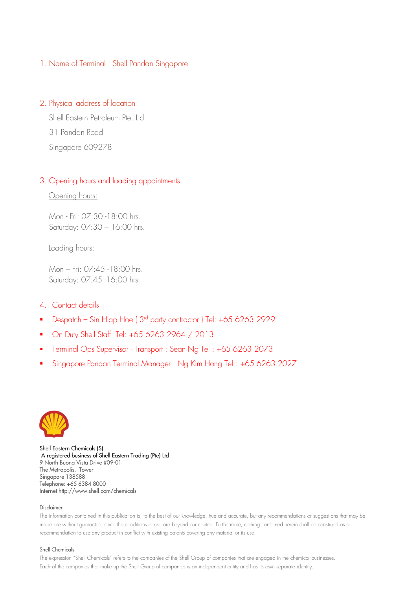## 1. Name of Terminal : Shell Pandan Singapore

## 2. Physical address of location

 Shell Eastern Petroleum Pte. Ltd. 31 Pandan Road Singapore 609278

## 3. Opening hours and loading appointments

Opening hours:

 Mon - Fri: 07:30 -18:00 hrs. Saturday: 07:30 – 16:00 hrs.

Loading hours:

 Mon – Fri: 07:45 -18:00 hrs. Saturday: 07:45 -16:00 hrs

## 4. Contact details

- Despatch Sin Hiap Hoe ( $3<sup>rd</sup>$ .party contractor ) Tel:  $+6562632929$
- On Duty Shell Staff Tel: +65 6263 2964 / 2013
- Terminal Ops Supervisor Transport : Sean Ng Tel : +65 6263 2073
- Singapore Pandan Terminal Manager : Ng Kim Hong Tel : +65 6263 2027



Shell Eastern Chemicals (S) A registered business of Shell Eastern Trading (Pte) Ltd 9 North Buona Vista Drive #09-01 The Metropolis, Tower Singapore 138588 Telephone: +65 6384 8000 Internet http://www.shell.com/chemicals

#### Disclaimer

The information contained in this publication is, to the best of our knowledge, true and accurate, but any recommendations or suggestions that may be made are without guarantee, since the conditions of use are beyond our control. Furthermore, nothing contained herein shall be construed as a recommendation to use any product in conflict with existing patents covering any material or its use.

#### Shell Chemicals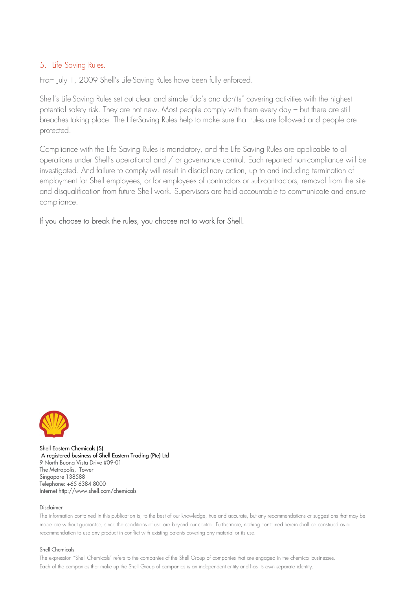## 5. Life Saving Rules.

From July 1, 2009 Shell's Life-Saving Rules have been fully enforced.

Shell's Life-Saving Rules set out clear and simple "do's and don'ts" covering activities with the highest potential safety risk. They are not new. Most people comply with them every day – but there are still breaches taking place. The Life-Saving Rules help to make sure that rules are followed and people are protected.

Compliance with the Life Saving Rules is mandatory, and the Life Saving Rules are applicable to all operations under Shell's operational and / or governance control. Each reported non-compliance will be investigated. And failure to comply will result in disciplinary action, up to and including termination of employment for Shell employees, or for employees of contractors or sub-contractors, removal from the site and disqualification from future Shell work. Supervisors are held accountable to communicate and ensure compliance.

## If you choose to break the rules, you choose not to work for Shell.



Shell Eastern Chemicals (S) A registered business of Shell Eastern Trading (Pte) Ltd 9 North Buona Vista Drive #09-01 The Metropolis, Tower Singapore 138588 Telephone: +65 6384 8000 Internet http://www.shell.com/chemicals

#### Disclaimer

The information contained in this publication is, to the best of our knowledge, true and accurate, but any recommendations or suggestions that may be made are without guarantee, since the conditions of use are beyond our control. Furthermore, nothing contained herein shall be construed as a recommendation to use any product in conflict with existing patents covering any material or its use.

#### Shell Chemicals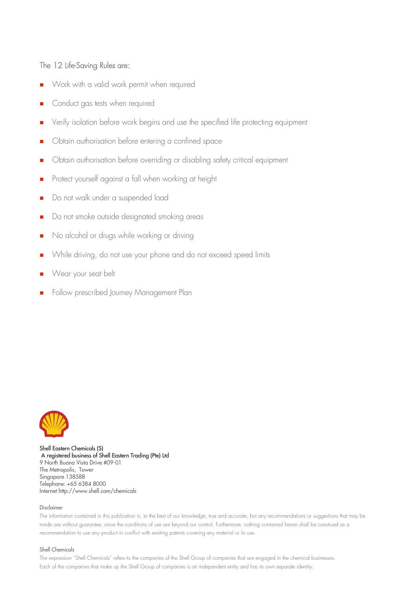## The 12 Life-Saving Rules are:

- Work with a valid work permit when required
- Conduct gas tests when required
- Verify isolation before work begins and use the specified life protecting equipment
- **D** Obtain authorisation before entering a confined space
- **D** Obtain authorisation before overriding or disabling safety critical equipment
- **Protect yourself against a fall when working at height**
- Do not walk under a suspended load
- Do not smoke outside designated smoking areas
- No alcohol or drugs while working or driving
- While driving, do not use your phone and do not exceed speed limits
- **Near your seat belt**
- Follow prescribed Journey Management Plan



Shell Eastern Chemicals (S) A registered business of Shell Eastern Trading (Pte) Ltd 9 North Buona Vista Drive #09-01 The Metropolis, Tower Singapore 138588 Telephone: +65 6384 8000 Internet http://www.shell.com/chemicals

#### Disclaimer

The information contained in this publication is, to the best of our knowledge, true and accurate, but any recommendations or suggestions that may be made are without guarantee, since the conditions of use are beyond our control. Furthermore, nothing contained herein shall be construed as a recommendation to use any product in conflict with existing patents covering any material or its use.

#### Shell Chemicals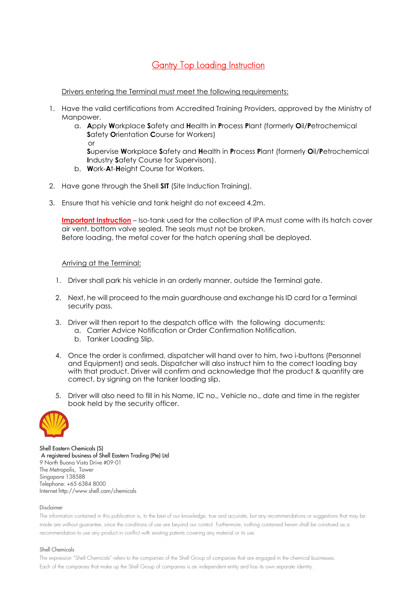## **Gantry Top Loading Instruction**

Drivers entering the Terminal must meet the following requirements:

- 1. Have the valid certifications from Accredited Training Providers, approved by the Ministry of Manpower.
- a. Apply Workplace Safety and Health in Process Plant (formerly Oil/Petrochemical Safety Orientation Course for Workers) **or** or

Supervise Workplace Safety and Health in Process Plant (formerly Oil/Petrochemical Industry Safety Course for Supervisors).

- b. Work-At-Height Course for Workers.
- 2. Have gone through the Shell SIT (Site Induction Training).
- 3. Ensure that his vehicle and tank height do not exceed 4.2m.

Important Instruction – Iso-tank used for the collection of IPA must come with its hatch cover air vent, bottom valve sealed. The seals must not be broken. Before loading, the metal cover for the hatch opening shall be deployed.

### Arriving at the Terminal:

- 1. Driver shall park his vehicle in an orderly manner, outside the Terminal gate.
- 2. Next, he will proceed to the main guardhouse and exchange his ID card for a Terminal security pass.
- 3. Driver will then report to the despatch office with the following documents:
	- a. Carrier Advice Notification or Order Confirmation Notification.
	- b. Tanker Loading Slip.
- 4. Once the order is confirmed, dispatcher will hand over to him, two i-buttons (Personnel and Equipment) and seals. Dispatcher will also instruct him to the correct loading bay with that product. Driver will confirm and acknowledge that the product & quantity are correct, by signing on the tanker loading slip.
- 5. Driver will also need to fill in his Name, IC no., Vehicle no., date and time in the register book held by the security officer.



Shell Eastern Chemicals (S) A registered business of Shell Eastern Trading (Pte) Ltd 9 North Buona Vista Drive #09-01 The Metropolis, Tower Singapore 138588 Telephone: +65 6384 8000 Internet http://www.shell.com/chemicals

#### Disclaimer

The information contained in this publication is, to the best of our knowledge, true and accurate, but any recommendations or suggestions that may be made are without guarantee, since the conditions of use are beyond our control. Furthermore, nothing contained herein shall be construed as a recommendation to use any product in conflict with existing patents covering any material or its use.

#### Shell Chemicals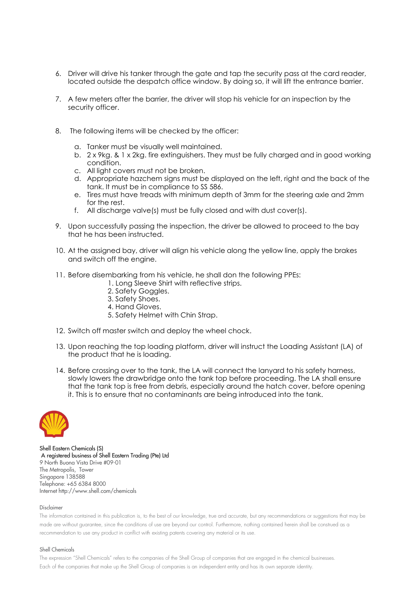- 6. Driver will drive his tanker through the gate and tap the security pass at the card reader, located outside the despatch office window. By doing so, it will lift the entrance barrier.
- 7. A few meters after the barrier, the driver will stop his vehicle for an inspection by the security officer.
- 8. The following items will be checked by the officer:
	- a. Tanker must be visually well maintained.
	- b. 2 x 9kg. & 1 x 2kg. fire extinguishers. They must be fully charged and in good working condition.
	- c. All light covers must not be broken.
	- d. Appropriate hazchem signs must be displayed on the left, right and the back of the tank. It must be in compliance to SS 586.
	- e. Tires must have treads with minimum depth of 3mm for the steering axle and 2mm for the rest.
	- f. All discharge valve(s) must be fully closed and with dust cover(s).
- 9. Upon successfully passing the inspection, the driver be allowed to proceed to the bay that he has been instructed.
- 10. At the assigned bay, driver will align his vehicle along the yellow line, apply the brakes and switch off the engine.
- 11. Before disembarking from his vehicle, he shall don the following PPEs:
	- 1. Long Sleeve Shirt with reflective strips.
	- 2. Safety Goggles.
	- 3. Safety Shoes.
	- 4. Hand Gloves.
	- 5. Safety Helmet with Chin Strap.
- 12. Switch off master switch and deploy the wheel chock.
- 13. Upon reaching the top loading platform, driver will instruct the Loading Assistant (LA) of the product that he is loading.
- 14. Before crossing over to the tank, the LA will connect the lanyard to his safety harness, slowly lowers the drawbridge onto the tank top before proceeding. The LA shall ensure that the tank top is free from debris, especially around the hatch cover, before opening it. This is to ensure that no contaminants are being introduced into the tank.



Shell Eastern Chemicals (S) A registered business of Shell Eastern Trading (Pte) Ltd 9 North Buona Vista Drive #09-01 The Metropolis, Tower Singapore 138588 Telephone: +65 6384 8000 Internet http://www.shell.com/chemicals

#### Disclaimer

The information contained in this publication is, to the best of our knowledge, true and accurate, but any recommendations or suggestions that may be made are without guarantee, since the conditions of use are beyond our control. Furthermore, nothing contained herein shall be construed as a recommendation to use any product in conflict with existing patents covering any material or its use.

#### Shell Chemicals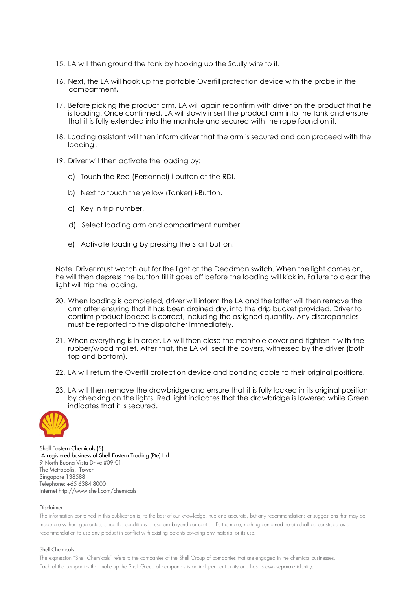- 15. LA will then ground the tank by hooking up the Scully wire to it.
- 16. Next, the LA will hook up the portable Overfill protection device with the probe in the compartment.
- 17. Before picking the product arm, LA will again reconfirm with driver on the product that he is loading. Once confirmed, LA will slowly insert the product arm into the tank and ensure that it is fully extended into the manhole and secured with the rope found on it.
- 18. Loading assistant will then inform driver that the arm is secured and can proceed with the loading .
- 19. Driver will then activate the loading by:
	- a) Touch the Red (Personnel) i-button at the RDI.
	- b) Next to touch the yellow (Tanker) i-Button.
	- c) Key in trip number.
	- d) Select loading arm and compartment number.
	- e) Activate loading by pressing the Start button.

Note: Driver must watch out for the light at the Deadman switch. When the light comes on, he will then depress the button till it goes off before the loading will kick in. Failure to clear the light will trip the loading.

- 20. When loading is completed, driver will inform the LA and the latter will then remove the arm after ensuring that it has been drained dry, into the drip bucket provided. Driver to confirm product loaded is correct, including the assigned quantity. Any discrepancies must be reported to the dispatcher immediately.
- 21. When everything is in order, LA will then close the manhole cover and tighten it with the rubber/wood mallet. After that, the LA will seal the covers, witnessed by the driver (both top and bottom).
- 22. LA will return the Overfill protection device and bonding cable to their original positions.
- 23. LA will then remove the drawbridge and ensure that it is fully locked in its original position by checking on the lights. Red light indicates that the drawbridge is lowered while Green indicates that it is secured.



Shell Eastern Chemicals (S) A registered business of Shell Eastern Trading (Pte) Ltd 9 North Buona Vista Drive #09-01 The Metropolis, Tower Singapore 138588 Telephone: +65 6384 8000 Internet http://www.shell.com/chemicals

#### Disclaimer

The information contained in this publication is, to the best of our knowledge, true and accurate, but any recommendations or suggestions that may be made are without guarantee, since the conditions of use are beyond our control. Furthermore, nothing contained herein shall be construed as a recommendation to use any product in conflict with existing patents covering any material or its use.

#### Shell Chemicals